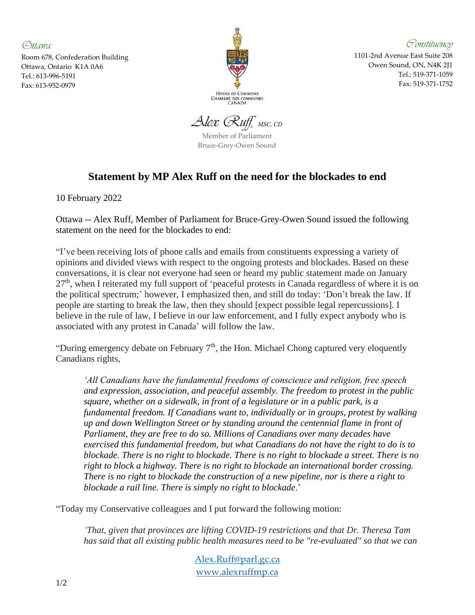*Ottawa*

Room 678, Confederation Building Ottawa, Ontario K1A 0A6 Tel.: 613-996-5191 Fax: 613-952-0979



*Constituency*

1101-2nd Avenue East Suite 208 Owen Sound, ON, N4K 2J1 Tel.: 519-371-1059 Fax: 519-371-1752

*Alex Ruff, MSC, CD*

Member of Parliament Bruce-Grey-Owen Sound

## **Statement by MP Alex Ruff on the need for the blockades to end**

10 February 2022

Ottawa -- Alex Ruff, Member of Parliament for Bruce-Grey-Owen Sound issued the following statement on the need for the blockades to end:

"I've been receiving lots of phone calls and emails from constituents expressing a variety of opinions and divided views with respect to the ongoing protests and blockades. Based on these conversations, it is clear not everyone had seen or heard my public statement made on January 27<sup>th</sup>, when I reiterated my full support of 'peaceful protests in Canada regardless of where it is on the political spectrum;' however, I emphasized then, and still do today: 'Don't break the law. If people are starting to break the law, then they should [expect possible legal repercussions]. I believe in the rule of law, I believe in our law enforcement, and I fully expect anybody who is associated with any protest in Canada' will follow the law.

"During emergency debate on February  $7<sup>th</sup>$ , the Hon. Michael Chong captured very eloquently Canadians rights,

*All Canadians have the fundamental freedoms of conscience and religion, free speech and expression, association, and peaceful assembly. The freedom to protest in the public square, whether on a sidewalk, in front of a legislature or in a public park, is a fundamental freedom. If Canadians want to, individually or in groups, protest by walking up and down Wellington Street or by standing around the centennial flame in front of Parliament, they are free to do so. Millions of Canadians over many decades have exercised this fundamental freedom, but what Canadians do not have the right to do is to blockade. There is no right to blockade. There is no right to blockade a street. There is no right to block a highway. There is no right to blockade an international border crossing. There is no right to blockade the construction of a new pipeline, nor is there a right to blockade a rail line. There is simply no right to blockade*.'

"Today my Conservative colleagues and I put forward the following motion:

*'That, given that provinces are lifting COVID-19 restrictions and that Dr. Theresa Tam has said that all existing public health measures need to be "re-evaluated" so that we can*

> [Alex.Ruff@parl.gc.ca](mailto:Alex.Ruff@parl.gc.ca) [www.alexruffmp.ca](http://www.alexruffmp.ca/)